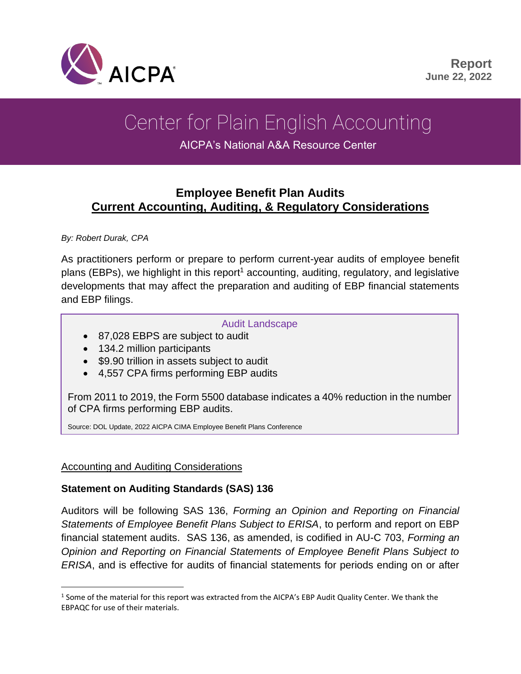

# Center for Plain English Accounting

AICPA's National A&A Resource Center

## **Employee Benefit Plan Audits Current Accounting, Auditing, & Regulatory Considerations**

*By: Robert Durak, CPA*

As practitioners perform or prepare to perform current-year audits of employee benefit plans (EBPs), we highlight in this report<sup>1</sup> accounting, auditing, regulatory, and legislative developments that may affect the preparation and auditing of EBP financial statements and EBP filings.

#### Audit Landscape

- 87,028 EBPS are subject to audit
- 134.2 million participants
- \$9.90 trillion in assets subject to audit
- 4,557 CPA firms performing EBP audits

From 2011 to 2019, the Form 5500 database indicates a 40% reduction in the number of CPA firms performing EBP audits.

Source: DOL Update, 2022 AICPA CIMA Employee Benefit Plans Conference

#### Accounting and Auditing Considerations

#### **Statement on Auditing Standards (SAS) 136**

Auditors will be following SAS 136, *Forming an Opinion and Reporting on Financial Statements of Employee Benefit Plans Subject to ERISA*, to perform and report on EBP financial statement audits. SAS 136, as amended, is codified in AU-C 703, *Forming an Opinion and Reporting on Financial Statements of Employee Benefit Plans Subject to ERISA*, and is effective for audits of financial statements for periods ending on or after

 $<sup>1</sup>$  Some of the material for this report was extracted from the AICPA's EBP Audit Quality Center. We thank the</sup> EBPAQC for use of their materials.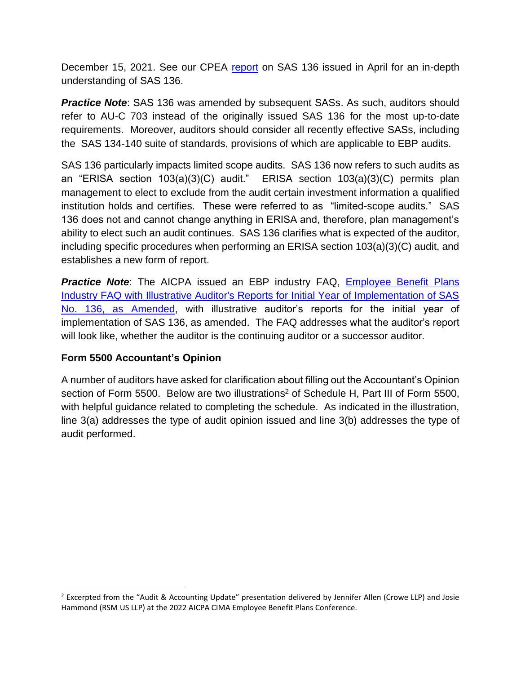December 15, 2021. See our CPEA [report](https://us.aicpa.org/content/dam/aicpa/interestareas/centerforplainenglishaccounting/resources/2022/sas-136-rd.pdf?contentType=secured) on SAS 136 issued in April for an in-depth understanding of SAS 136.

**Practice Note:** SAS 136 was amended by subsequent SASs. As such, auditors should refer to AU-C 703 instead of the originally issued SAS 136 for the most up-to-date requirements. Moreover, auditors should consider all recently effective SASs, including the SAS 134-140 suite of standards, provisions of which are applicable to EBP audits.

SAS 136 particularly impacts limited scope audits. SAS 136 now refers to such audits as an "ERISA section 103(a)(3)(C) audit." ERISA section 103(a)(3)(C) permits plan management to elect to exclude from the audit certain investment information a qualified institution holds and certifies. These were referred to as "limited-scope audits." SAS 136 does not and cannot change anything in ERISA and, therefore, plan management's ability to elect such an audit continues. SAS 136 clarifies what is expected of the auditor, including specific procedures when performing an ERISA section 103(a)(3)(C) audit, and establishes a new form of report.

**Practice Note:** The AICPA issued an EBP industry FAQ, **Employee Benefit Plans** [Industry FAQ with Illustrative Auditor's Reports for Initial Year of Implementation of SAS](https://us.aicpa.org/content/dam/aicpa/interestareas/frc/auditattest/downloadabledocuments/sas-136-illustrations.pdf)  [No. 136, as](https://us.aicpa.org/content/dam/aicpa/interestareas/frc/auditattest/downloadabledocuments/sas-136-illustrations.pdf) Amended, with illustrative auditor's reports for the initial year of implementation of SAS 136, as amended. The FAQ addresses what the auditor's report will look like, whether the auditor is the continuing auditor or a successor auditor.

#### **Form 5500 Accountant's Opinion**

<span id="page-1-0"></span>A number of auditors have asked for clarification about filling out the Accountant's Opinion section of Form 5500. Below are two illustrations<sup>2</sup> of Schedule H, Part III of Form 5500, with helpful guidance related to completing the schedule. As indicated in the illustration, line 3(a) addresses the type of audit opinion issued and line 3(b) addresses the type of audit performed.

<sup>&</sup>lt;sup>2</sup> Excerpted from the "Audit & Accounting Update" presentation delivered by Jennifer Allen (Crowe LLP) and Josie Hammond (RSM US LLP) at the 2022 AICPA CIMA Employee Benefit Plans Conference.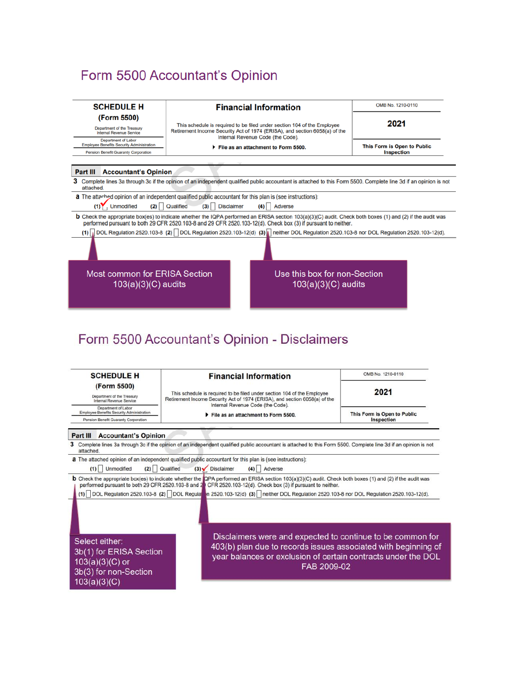# Form 5500 Accountant's Opinion



# Form 5500 Accountant's Opinion - Disclaimers

| <b>SCHEDULE H</b>                                                                                        | <b>Financial Information</b>                                                                                                                                                                                                                                                                                                                                                                                                                                                                                                                                                                           | OMB No. 1210-0110<br>2021<br>This Form is Open to Public<br>Inspection |
|----------------------------------------------------------------------------------------------------------|--------------------------------------------------------------------------------------------------------------------------------------------------------------------------------------------------------------------------------------------------------------------------------------------------------------------------------------------------------------------------------------------------------------------------------------------------------------------------------------------------------------------------------------------------------------------------------------------------------|------------------------------------------------------------------------|
| (Form 5500)<br>Department of the Treasury<br>Internal Revenue Service                                    | This schedule is required to be filed under section 104 of the Employee<br>Retirement Income Security Act of 1974 (ERISA), and section 6058(a) of the<br>Internal Revenue Code (the Code).                                                                                                                                                                                                                                                                                                                                                                                                             |                                                                        |
| Department of Labor<br>Employee Benefits Security Administration<br>Pension Benefit Guaranty Corporation | File as an attachment to Form 5500.                                                                                                                                                                                                                                                                                                                                                                                                                                                                                                                                                                    |                                                                        |
| Part III<br><b>Accountant's Opinion</b>                                                                  |                                                                                                                                                                                                                                                                                                                                                                                                                                                                                                                                                                                                        |                                                                        |
| attached.                                                                                                | 3 Complete lines 3a through 3c if the opinion of an independent qualified public accountant is attached to this Form 5500. Complete line 3d if an opinion is not                                                                                                                                                                                                                                                                                                                                                                                                                                       |                                                                        |
| Unmodified<br>(1)                                                                                        | a The attached opinion of an independent qualified public accountant for this plan is (see instructions):<br>$(3)$ / Disclaimer<br>(2) Qualified<br>(4) Adverse<br><b>b</b> Check the appropriate box(es) to indicate whether the <b>QPA</b> performed an ERISA section 103(a)(3)(C) audit. Check both boxes (1) and (2) if the audit was<br>performed pursuant to both 29 CFR 2520.103-8 and 20 CFR 2520.103-12(d). Check box (3) if pursuant to neither.<br>(1) DOL Regulation 2520.103-8 (2) DOL Regulation 2520.103-12(d) (3) neither DOL Regulation 2520.103-8 nor DOL Regulation 2520.103-12(d). |                                                                        |
| Select either:<br>3b(1) for ERISA Section<br>$103(a)(3)(C)$ or<br>3b(3) for non-Section<br>103(a)(3)(C)  | Disclaimers were and expected to continue to be common for<br>403(b) plan due to records issues associated with beginning of<br>year balances or exclusion of certain contracts under the DOL<br>FAB 2009-02                                                                                                                                                                                                                                                                                                                                                                                           |                                                                        |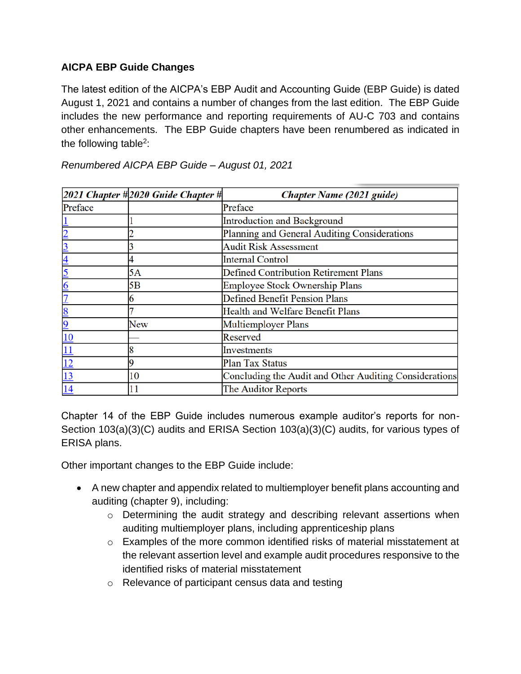#### **AICPA EBP Guide Changes**

The latest edition of the AICPA's EBP Audit and Accounting Guide (EBP Guide) is dated August 1, 2021 and contains a number of changes from the last edition. The EBP Guide includes the new performance and reporting requirements of AU-C 703 and contains other enhancements. The EBP Guide chapters have been renumbered as indicated in the following table<sup>[2](#page-1-0)</sup>:

|                         | $2021$ Chapter #2020 Guide Chapter # | <b>Chapter Name (2021 guide)</b>                       |
|-------------------------|--------------------------------------|--------------------------------------------------------|
| Preface                 |                                      | Preface                                                |
|                         |                                      | <b>Introduction and Background</b>                     |
|                         |                                      | Planning and General Auditing Considerations           |
|                         |                                      | <b>Audit Risk Assessment</b>                           |
| $\overline{\mathsf{A}}$ |                                      | <b>Internal Control</b>                                |
|                         | 5A                                   | <b>Defined Contribution Retirement Plans</b>           |
| 6                       | 5Β                                   | Employee Stock Ownership Plans                         |
|                         |                                      | <b>Defined Benefit Pension Plans</b>                   |
| 8                       |                                      | Health and Welfare Benefit Plans                       |
|                         | New                                  | Multiemployer Plans                                    |
| 10                      |                                      | Reserved                                               |
| $\overline{11}$         |                                      | Investments                                            |
| $\overline{12}$         |                                      | Plan Tax Status                                        |
| 13                      | 10                                   | Concluding the Audit and Other Auditing Considerations |
| 14                      |                                      | The Auditor Reports                                    |

*Renumbered AICPA EBP Guide – August 01, 2021*

Chapter 14 of the EBP Guide includes numerous example auditor's reports for non-Section 103(a)(3)(C) audits and ERISA Section 103(a)(3)(C) audits, for various types of ERISA plans.

Other important changes to the EBP Guide include:

- A new chapter and appendix related to multiemployer benefit plans accounting and auditing (chapter 9), including:
	- o Determining the audit strategy and describing relevant assertions when auditing multiemployer plans, including apprenticeship plans
	- o Examples of the more common identified risks of material misstatement at the relevant assertion level and example audit procedures responsive to the identified risks of material misstatement
	- o Relevance of participant census data and testing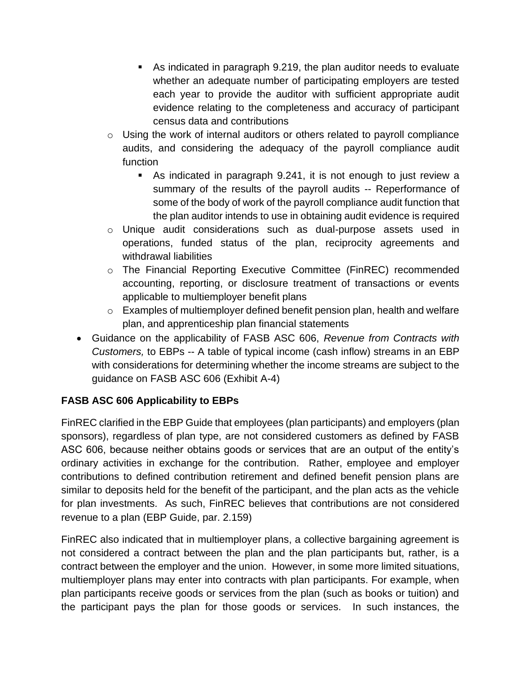- As indicated in paragraph 9.219, the plan auditor needs to evaluate whether an adequate number of participating employers are tested each year to provide the auditor with sufficient appropriate audit evidence relating to the completeness and accuracy of participant census data and contributions
- o Using the work of internal auditors or others related to payroll compliance audits, and considering the adequacy of the payroll compliance audit function
	- As indicated in paragraph 9.241, it is not enough to just review a summary of the results of the payroll audits -- Reperformance of some of the body of work of the payroll compliance audit function that the plan auditor intends to use in obtaining audit evidence is required
- o Unique audit considerations such as dual-purpose assets used in operations, funded status of the plan, reciprocity agreements and withdrawal liabilities
- o The Financial Reporting Executive Committee (FinREC) recommended accounting, reporting, or disclosure treatment of transactions or events applicable to multiemployer benefit plans
- $\circ$  Examples of multiemployer defined benefit pension plan, health and welfare plan, and apprenticeship plan financial statements
- Guidance on the applicability of FASB ASC 606, *Revenue from Contracts with Customers,* to EBPs -- A table of typical income (cash inflow) streams in an EBP with considerations for determining whether the income streams are subject to the guidance on FASB ASC 606 (Exhibit A-4)

#### **FASB ASC 606 Applicability to EBPs**

FinREC clarified in the EBP Guide that employees (plan participants) and employers (plan sponsors), regardless of plan type, are not considered customers as defined by FASB ASC 606, because neither obtains goods or services that are an output of the entity's ordinary activities in exchange for the contribution. Rather, employee and employer contributions to defined contribution retirement and defined benefit pension plans are similar to deposits held for the benefit of the participant, and the plan acts as the vehicle for plan investments. As such, FinREC believes that contributions are not considered revenue to a plan (EBP Guide, par. 2.159)

FinREC also indicated that in multiemployer plans, a collective bargaining agreement is not considered a contract between the plan and the plan participants but, rather, is a contract between the employer and the union. However, in some more limited situations, multiemployer plans may enter into contracts with plan participants. For example, when plan participants receive goods or services from the plan (such as books or tuition) and the participant pays the plan for those goods or services. In such instances, the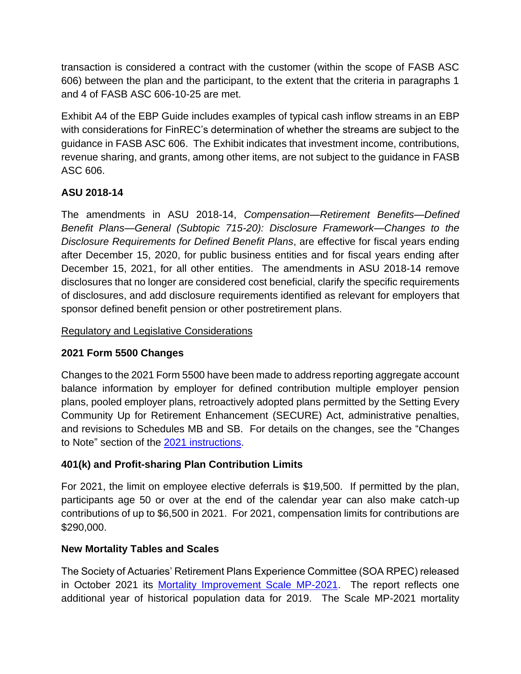transaction is considered a contract with the customer (within the scope of FASB ASC 606) between the plan and the participant, to the extent that the criteria in paragraphs 1 and 4 of FASB ASC 606-10-25 are met.

Exhibit A4 of the EBP Guide includes examples of typical cash inflow streams in an EBP with considerations for FinREC's determination of whether the streams are subject to the guidance in FASB ASC 606. The Exhibit indicates that investment income, contributions, revenue sharing, and grants, among other items, are not subject to the guidance in FASB ASC 606.

#### **ASU 2018-14**

The amendments in ASU 2018-14, *Compensation—Retirement Benefits—Defined Benefit Plans—General (Subtopic 715-20): Disclosure Framework—Changes to the Disclosure Requirements for Defined Benefit Plans*, are effective for fiscal years ending after December 15, 2020, for public business entities and for fiscal years ending after December 15, 2021, for all other entities. The amendments in ASU 2018-14 remove disclosures that no longer are considered cost beneficial, clarify the specific requirements of disclosures, and add disclosure requirements identified as relevant for employers that sponsor defined benefit pension or other postretirement plans.

#### Regulatory and Legislative Considerations

#### **2021 Form 5500 Changes**

Changes to the 2021 Form 5500 have been made to address reporting aggregate account balance information by employer for defined contribution multiple employer pension plans, pooled employer plans, retroactively adopted plans permitted by the Setting Every Community Up for Retirement Enhancement (SECURE) Act, administrative penalties, and revisions to Schedules MB and SB. For details on the changes, see the "Changes to Note" section of the [2021 instructions.](https://www.dol.gov/sites/dolgov/files/EBSA/employers-and-advisers/plan-administration-and-compliance/reporting-and-filing/form-5500/2021-instructions.pdf)

#### **401(k) and Profit-sharing Plan Contribution Limits**

For 2021, the limit on employee elective deferrals is \$19,500. If permitted by the plan, participants age 50 or over at the end of the calendar year can also make catch-up contributions of up to \$6,500 in 2021. For 2021, compensation limits for contributions are \$290,000.

#### **New Mortality Tables and Scales**

The Society of Actuaries' Retirement Plans Experience Committee (SOA RPEC) released in October 2021 its [Mortality Improvement Scale MP-2021.](https://www.soa.org/globalassets/assets/files/resources/experience-studies/2021/2021-mp-scale-report.pdf) The report reflects one additional year of historical population data for 2019. The Scale MP-2021 mortality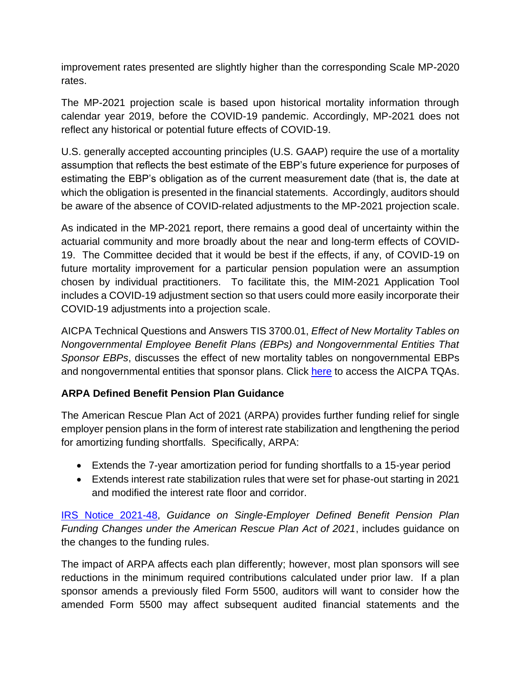improvement rates presented are slightly higher than the corresponding Scale MP-2020 rates.

The MP-2021 projection scale is based upon historical mortality information through calendar year 2019, before the COVID-19 pandemic. Accordingly, MP-2021 does not reflect any historical or potential future effects of COVID-19.

U.S. generally accepted accounting principles (U.S. GAAP) require the use of a mortality assumption that reflects the best estimate of the EBP's future experience for purposes of estimating the EBP's obligation as of the current measurement date (that is, the date at which the obligation is presented in the financial statements. Accordingly, auditors should be aware of the absence of COVID-related adjustments to the MP-2021 projection scale.

As indicated in the MP-2021 report, there remains a good deal of uncertainty within the actuarial community and more broadly about the near and long-term effects of COVID-19. The Committee decided that it would be best if the effects, if any, of COVID-19 on future mortality improvement for a particular pension population were an assumption chosen by individual practitioners. To facilitate this, the MIM-2021 Application Tool includes a COVID-19 adjustment section so that users could more easily incorporate their COVID-19 adjustments into a projection scale.

AICPA Technical Questions and Answers TIS 3700.01, *Effect of New Mortality Tables on Nongovernmental Employee Benefit Plans (EBPs) and Nongovernmental Entities That Sponsor EBPs*, discusses the effect of new mortality tables on nongovernmental EBPs and nongovernmental entities that sponsor plans. Click [here](https://www.aicpa.org/resources/download/aicpa-technical-questions-and-answers-at-your-fingertips) to access the AICPA TQAs.

#### **ARPA Defined Benefit Pension Plan Guidance**

The American Rescue Plan Act of 2021 (ARPA) provides further funding relief for single employer pension plans in the form of interest rate stabilization and lengthening the period for amortizing funding shortfalls. Specifically, ARPA:

- Extends the 7-year amortization period for funding shortfalls to a 15-year period
- Extends interest rate stabilization rules that were set for phase-out starting in 2021 and modified the interest rate floor and corridor.

[IRS Notice 2021-48,](https://www.irs.gov/pub/irs-drop/n-21-48.pdf) *Guidance on Single-Employer Defined Benefit Pension Plan Funding Changes under the American Rescue Plan Act of 2021*, includes guidance on the changes to the funding rules.

The impact of ARPA affects each plan differently; however, most plan sponsors will see reductions in the minimum required contributions calculated under prior law. If a plan sponsor amends a previously filed Form 5500, auditors will want to consider how the amended Form 5500 may affect subsequent audited financial statements and the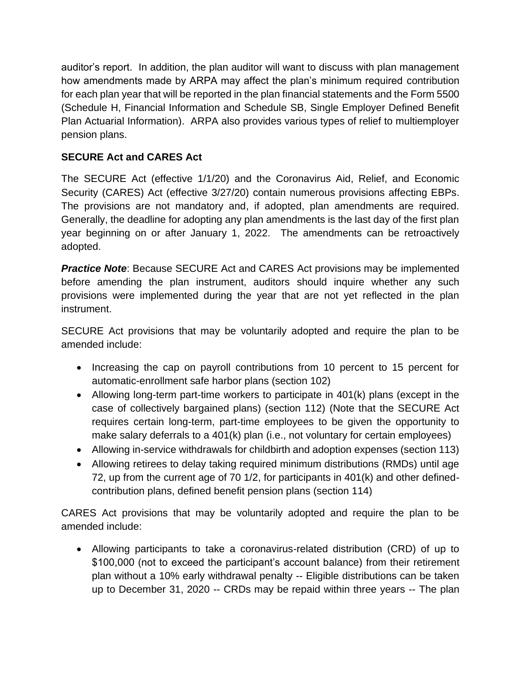auditor's report. In addition, the plan auditor will want to discuss with plan management how amendments made by ARPA may affect the plan's minimum required contribution for each plan year that will be reported in the plan financial statements and the Form 5500 (Schedule H, Financial Information and Schedule SB, Single Employer Defined Benefit Plan Actuarial Information). ARPA also provides various types of relief to multiemployer pension plans.

#### **SECURE Act and CARES Act**

The SECURE Act (effective 1/1/20) and the Coronavirus Aid, Relief, and Economic Security (CARES) Act (effective 3/27/20) contain numerous provisions affecting EBPs. The provisions are not mandatory and, if adopted, plan amendments are required. Generally, the deadline for adopting any plan amendments is the last day of the first plan year beginning on or after January 1, 2022. The amendments can be retroactively adopted.

*Practice Note: Because SECURE Act and CARES Act provisions may be implemented* before amending the plan instrument, auditors should inquire whether any such provisions were implemented during the year that are not yet reflected in the plan instrument.

SECURE Act provisions that may be voluntarily adopted and require the plan to be amended include:

- Increasing the cap on payroll contributions from 10 percent to 15 percent for automatic-enrollment safe harbor plans (section 102)
- Allowing long-term part-time workers to participate in 401(k) plans (except in the case of collectively bargained plans) (section 112) (Note that the SECURE Act requires certain long-term, part-time employees to be given the opportunity to make salary deferrals to a 401(k) plan (i.e., not voluntary for certain employees)
- Allowing in-service withdrawals for childbirth and adoption expenses (section 113)
- Allowing retirees to delay taking required minimum distributions (RMDs) until age 72, up from the current age of 70 1/2, for participants in 401(k) and other definedcontribution plans, defined benefit pension plans (section 114)

CARES Act provisions that may be voluntarily adopted and require the plan to be amended include:

• Allowing participants to take a coronavirus-related distribution (CRD) of up to \$100,000 (not to exceed the participant's account balance) from their retirement plan without a 10% early withdrawal penalty -- Eligible distributions can be taken up to December 31, 2020 -- CRDs may be repaid within three years -- The plan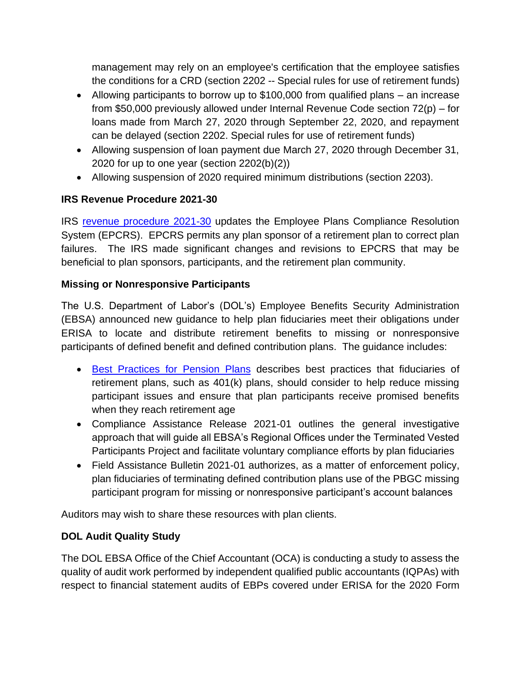management may rely on an employee's certification that the employee satisfies the conditions for a CRD (section 2202 -- Special rules for use of retirement funds)

- Allowing participants to borrow up to \$100,000 from qualified plans an increase from \$50,000 previously allowed under Internal Revenue Code section 72(p) – for loans made from March 27, 2020 through September 22, 2020, and repayment can be delayed (section 2202. Special rules for use of retirement funds)
- Allowing suspension of loan payment due March 27, 2020 through December 31, 2020 for up to one year (section 2202(b)(2))
- Allowing suspension of 2020 required minimum distributions (section 2203).

## **IRS Revenue Procedure 2021-30**

IRS [revenue procedure 2021-30](https://www.irs.gov/pub/irs-drop/rp-21-30.pdf) updates the Employee Plans Compliance Resolution System (EPCRS). EPCRS permits any plan sponsor of a retirement plan to correct plan failures. The IRS made significant changes and revisions to EPCRS that may be beneficial to plan sponsors, participants, and the retirement plan community.

## **Missing or Nonresponsive Participants**

The U.S. Department of Labor's (DOL's) Employee Benefits Security Administration (EBSA) announced new guidance to help plan fiduciaries meet their obligations under ERISA to locate and distribute retirement benefits to missing or nonresponsive participants of defined benefit and defined contribution plans. The guidance includes:

- [Best Practices for Pension Plans](https://www.dol.gov/agencies/ebsa/employers-and-advisers/plan-administration-and-compliance/retirement/missing-participants-guidance/best-practices-for-pension-plans) describes best practices that fiduciaries of retirement plans, such as 401(k) plans, should consider to help reduce missing participant issues and ensure that plan participants receive promised benefits when they reach retirement age
- Compliance Assistance Release 2021-01 outlines the general investigative approach that will guide all EBSA's Regional Offices under the Terminated Vested Participants Project and facilitate voluntary compliance efforts by plan fiduciaries
- Field Assistance Bulletin 2021-01 authorizes, as a matter of enforcement policy, plan fiduciaries of terminating defined contribution plans use of the PBGC missing participant program for missing or nonresponsive participant's account balances

Auditors may wish to share these resources with plan clients.

# **DOL Audit Quality Study**

The DOL EBSA Office of the Chief Accountant (OCA) is conducting a study to assess the quality of audit work performed by independent qualified public accountants (IQPAs) with respect to financial statement audits of EBPs covered under ERISA for the 2020 Form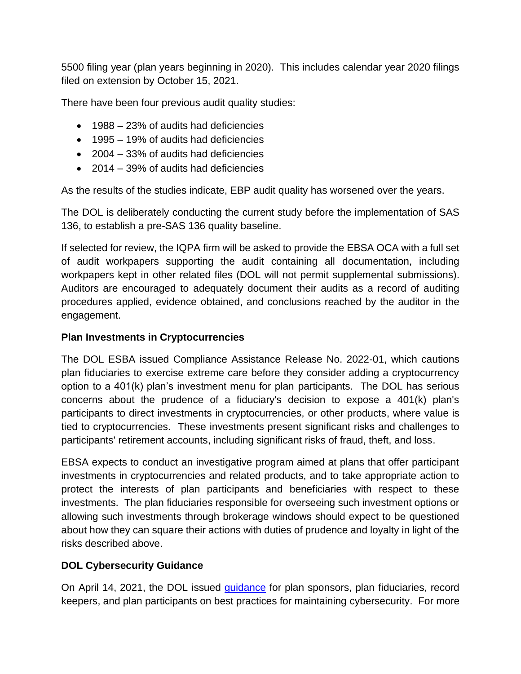5500 filing year (plan years beginning in 2020). This includes calendar year 2020 filings filed on extension by October 15, 2021.

There have been four previous audit quality studies:

- 1988 23% of audits had deficiencies
- 1995 19% of audits had deficiencies
- 2004 33% of audits had deficiencies
- 2014 39% of audits had deficiencies

As the results of the studies indicate, EBP audit quality has worsened over the years.

The DOL is deliberately conducting the current study before the implementation of SAS 136, to establish a pre-SAS 136 quality baseline.

If selected for review, the IQPA firm will be asked to provide the EBSA OCA with a full set of audit workpapers supporting the audit containing all documentation, including workpapers kept in other related files (DOL will not permit supplemental submissions). Auditors are encouraged to adequately document their audits as a record of auditing procedures applied, evidence obtained, and conclusions reached by the auditor in the engagement.

#### **Plan Investments in Cryptocurrencies**

The DOL ESBA issued Compliance Assistance Release No. 2022-01, which cautions plan fiduciaries to exercise extreme care before they consider adding a cryptocurrency option to a 401(k) plan's investment menu for plan participants. The DOL has serious concerns about the prudence of a fiduciary's decision to expose a 401(k) plan's participants to direct investments in cryptocurrencies, or other products, where value is tied to cryptocurrencies. These investments present significant risks and challenges to participants' retirement accounts, including significant risks of fraud, theft, and loss.

EBSA expects to conduct an investigative program aimed at plans that offer participant investments in cryptocurrencies and related products, and to take appropriate action to protect the interests of plan participants and beneficiaries with respect to these investments. The plan fiduciaries responsible for overseeing such investment options or allowing such investments through brokerage windows should expect to be questioned about how they can square their actions with duties of prudence and loyalty in light of the risks described above.

#### **DOL Cybersecurity Guidance**

On April 14, 2021, the DOL issued [guidance](https://www.dol.gov/newsroom/releases/ebsa/ebsa20210414) for plan sponsors, plan fiduciaries, record keepers, and plan participants on best practices for maintaining cybersecurity. For more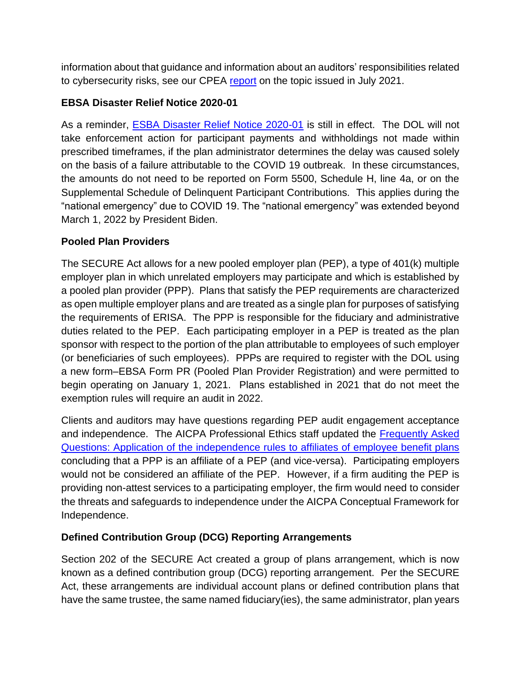information about that guidance and information about an auditors' responsibilities related to cybersecurity risks, see our CPEA [report](https://us.aicpa.org/content/dam/aicpa/interestareas/centerforplainenglishaccounting/resources/2021/56175896-cyber-bd-final.pdf?contentType=secured) on the topic issued in July 2021.

#### **EBSA Disaster Relief Notice 2020-01**

As a reminder, **ESBA Disaster Relief Notice 2020-01** is still in effect. The DOL will not take enforcement action for participant payments and withholdings not made within prescribed timeframes, if the plan administrator determines the delay was caused solely on the basis of a failure attributable to the COVID 19 outbreak. In these circumstances, the amounts do not need to be reported on Form 5500, Schedule H, line 4a, or on the Supplemental Schedule of Delinquent Participant Contributions. This applies during the "national emergency" due to COVID 19. The "national emergency" was extended beyond March 1, 2022 by President Biden.

#### **Pooled Plan Providers**

The SECURE Act allows for a new pooled employer plan (PEP), a type of 401(k) multiple employer plan in which unrelated employers may participate and which is established by a pooled plan provider (PPP). Plans that satisfy the PEP requirements are characterized as open multiple employer plans and are treated as a single plan for purposes of satisfying the requirements of ERISA. The PPP is responsible for the fiduciary and administrative duties related to the PEP. Each participating employer in a PEP is treated as the plan sponsor with respect to the portion of the plan attributable to employees of such employer (or beneficiaries of such employees). PPPs are required to register with the DOL using a new form–EBSA Form PR (Pooled Plan Provider Registration) and were permitted to begin operating on January 1, 2021. Plans established in 2021 that do not meet the exemption rules will require an audit in 2022.

Clients and auditors may have questions regarding PEP audit engagement acceptance and independence. The AICPA Professional Ethics staff updated the [Frequently Asked](https://us.aicpa.org/content/dam/aicpa/interestareas/professionalethics/resources/tools/downloadabledocuments/faqs-application-independence-rules-affiliates-of-employee-benefit-plans.pdf)  [Questions: Application of the independence rules to affiliates of employee benefit plans](https://us.aicpa.org/content/dam/aicpa/interestareas/professionalethics/resources/tools/downloadabledocuments/faqs-application-independence-rules-affiliates-of-employee-benefit-plans.pdf) concluding that a PPP is an affiliate of a PEP (and vice-versa). Participating employers would not be considered an affiliate of the PEP. However, if a firm auditing the PEP is providing non-attest services to a participating employer, the firm would need to consider the threats and safeguards to independence under the AICPA Conceptual Framework for Independence.

#### **Defined Contribution Group (DCG) Reporting Arrangements**

Section 202 of the SECURE Act created a group of plans arrangement, which is now known as a defined contribution group (DCG) reporting arrangement. Per the SECURE Act, these arrangements are individual account plans or defined contribution plans that have the same trustee, the same named fiduciary(ies), the same administrator, plan years